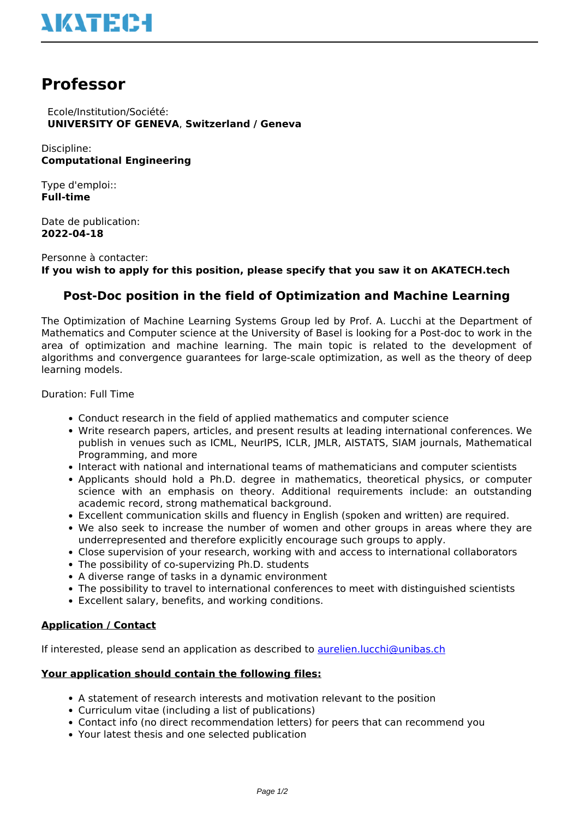# **Professor**

 Ecole/Institution/Société: **UNIVERSITY OF GENEVA**, **Switzerland / Geneva**

Discipline: **Computational Engineering**

Type d'emploi:: **Full-time**

Date de publication: **2022-04-18**

Personne à contacter: **If you wish to apply for this position, please specify that you saw it on AKATECH.tech**

## **Post-Doc position in the field of Optimization and Machine Learning**

The Optimization of Machine Learning Systems Group led by Prof. A. Lucchi at the Department of Mathematics and Computer science at the University of Basel is looking for a Post-doc to work in the area of optimization and machine learning. The main topic is related to the development of algorithms and convergence guarantees for large-scale optimization, as well as the theory of deep learning models.

Duration: Full Time

- Conduct research in the field of applied mathematics and computer science
- Write research papers, articles, and present results at leading international conferences. We publish in venues such as ICML, NeurIPS, ICLR, JMLR, AISTATS, SIAM journals, Mathematical Programming, and more
- Interact with national and international teams of mathematicians and computer scientists
- Applicants should hold a Ph.D. degree in mathematics, theoretical physics, or computer science with an emphasis on theory. Additional requirements include: an outstanding academic record, strong mathematical background.
- Excellent communication skills and fluency in English (spoken and written) are required.
- We also seek to increase the number of women and other groups in areas where they are underrepresented and therefore explicitly encourage such groups to apply.
- Close supervision of your research, working with and access to international collaborators
- The possibility of co-supervizing Ph.D. students
- A diverse range of tasks in a dynamic environment
- The possibility to travel to international conferences to meet with distinguished scientists
- Excellent salary, benefits, and working conditions.

#### **Application / Contact**

If interested, please send an application as described to [aurelien.lucchi@unibas.ch](mailto:aurelien.lucchi@unibas.ch)

#### **Your application should contain the following files:**

- A statement of research interests and motivation relevant to the position
- Curriculum vitae (including a list of publications)
- Contact info (no direct recommendation letters) for peers that can recommend you
- Your latest thesis and one selected publication